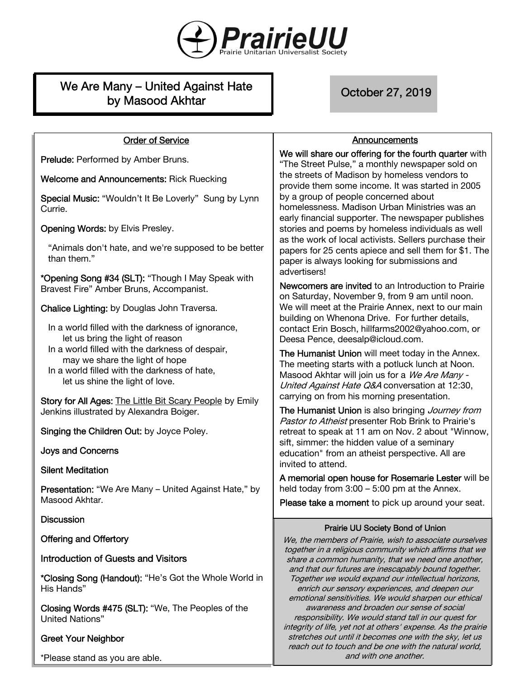

# We Are Many – United Against Hate by Masood Akhtar

October 27, 2019

# Order of Service

Prelude: Performed by Amber Bruns.

Welcome and Announcements: Rick Ruecking

Special Music: "Wouldn't It Be Loverly" Sung by Lynn Currie.

Opening Words: by Elvis Presley.

"Animals don't hate, and we're supposed to be better than them."

\*Opening Song #34 (SLT): "Though I May Speak with Bravest Fire" Amber Bruns, Accompanist.

Chalice Lighting: by Douglas John Traversa.

In a world filled with the darkness of ignorance, let us bring the light of reason In a world filled with the darkness of despair,

may we share the light of hope

In a world filled with the darkness of hate, let us shine the light of love.

Story for All Ages: The Little Bit Scary People by Emily Jenkins illustrated by Alexandra Boiger.

Singing the Children Out: by Joyce Poley.

Joys and Concerns

Silent Meditation

Presentation: "We Are Many – United Against Hate," by Masood Akhtar.

#### **Discussion**

Offering and Offertory

Introduction of Guests and Visitors

\*Closing Song (Handout): "He's Got the Whole World in His Hands"

Closing Words #475 (SLT): "We, The Peoples of the United Nations"

# Greet Your Neighbor

\*Please stand as you are able.

# Announcements

We will share our offering for the fourth quarter with "The Street Pulse," a monthly newspaper sold on the streets of Madison by homeless vendors to provide them some income. It was started in 2005 by a group of people concerned about homelessness. Madison Urban Ministries was an early financial supporter. The newspaper publishes stories and poems by homeless individuals as well as the work of local activists. Sellers purchase their papers for 25 cents apiece and sell them for \$1. The paper is always looking for submissions and advertisers!

Newcomers are invited to an Introduction to Prairie on Saturday, November 9, from 9 am until noon. We will meet at the Prairie Annex, next to our main building on Whenona Drive. For further details, contact Erin Bosch, hillfarms2002@yahoo.com, or Deesa Pence, deesalp@icloud.com.

The Humanist Union will meet today in the Annex. The meeting starts with a potluck lunch at Noon. Masood Akhtar will join us for a We Are Many -United Against Hate Q&A conversation at 12:30, carrying on from his morning presentation.

The Humanist Union is also bringing Journey from Pastor to Atheist presenter Rob Brink to Prairie's retreat to speak at 11 am on Nov. 2 about "Winnow, sift, simmer: the hidden value of a seminary education" from an atheist perspective. All are invited to attend.

A memorial open house for Rosemarie Lester will be held today from 3:00 – 5:00 pm at the Annex.

Please take a moment to pick up around your seat.

#### Prairie UU Society Bond of Union

We, the members of Prairie, wish to associate ourselves together in a religious community which affirms that we share a common humanity, that we need one another, and that our futures are inescapably bound together. Together we would expand our intellectual horizons, enrich our sensory experiences, and deepen our emotional sensitivities. We would sharpen our ethical awareness and broaden our sense of social responsibility. We would stand tall in our quest for integrity of life, yet not at others' expense. As the prairie stretches out until it becomes one with the sky, let us reach out to touch and be one with the natural world, and with one another.